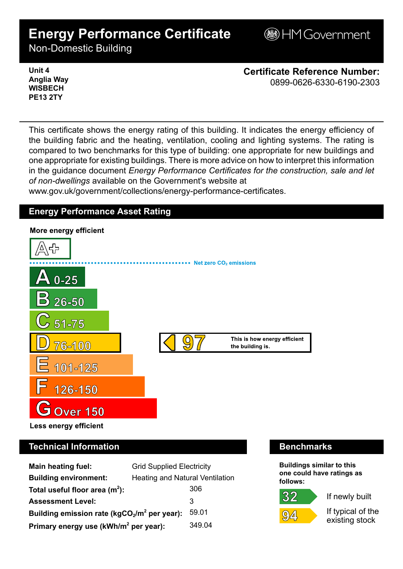# **Energy Performance Certificate**

**BHM Government** 

Non-Domestic Building

**Unit 4 Anglia Way WISBECH PE13 2TY**

**Certificate Reference Number:** 0899-0626-6330-6190-2303

This certificate shows the energy rating of this building. It indicates the energy efficiency of the building fabric and the heating, ventilation, cooling and lighting systems. The rating is compared to two benchmarks for this type of building: one appropriate for new buildings and one appropriate for existing buildings. There is more advice on how to interpret this information in the guidance document *Energy Performance Certificates for the construction, sale and let of non-dwellings* available on the Government's website at

www.gov.uk/government/collections/energy-performance-certificates.

## **Energy Performance Asset Rating**



# **Technical Information Benchmarks**

| <b>Main heating fuel:</b>                         | <b>Grid Supplied Electricity</b>       |        |
|---------------------------------------------------|----------------------------------------|--------|
| <b>Building environment:</b>                      | <b>Heating and Natural Ventilation</b> |        |
| Total useful floor area $(m2)$ :                  |                                        | 306    |
| <b>Assessment Level:</b>                          |                                        | 3      |
| Building emission rate ( $kgCO2/m2$ per year):    |                                        | 59.01  |
| Primary energy use (kWh/m <sup>2</sup> per year): |                                        | 349.04 |

**Buildings similar to this one could have ratings as follows:**

If newly built

 $\mathcal{Q}[\Delta]$ 

32

If typical of the existing stock